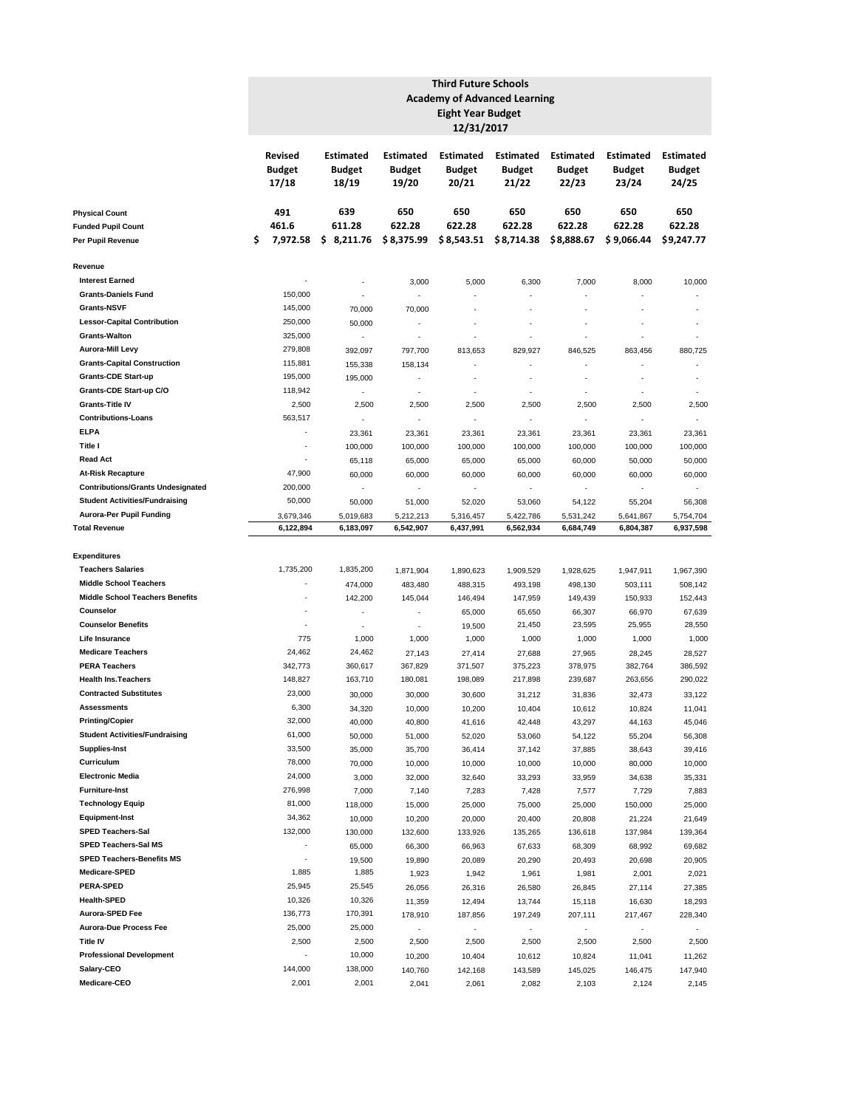|                                                                         |                                   | <b>Third Future Schools</b><br><b>Academy of Advanced Learning</b><br><b>Eight Year Budget</b><br>12/31/2017 |                                            |                                            |                                     |                                            |                                            |                                            |                                            |  |  |  |  |  |  |  |
|-------------------------------------------------------------------------|-----------------------------------|--------------------------------------------------------------------------------------------------------------|--------------------------------------------|--------------------------------------------|-------------------------------------|--------------------------------------------|--------------------------------------------|--------------------------------------------|--------------------------------------------|--|--|--|--|--|--|--|
| <b>Physical Count</b><br><b>Funded Pupil Count</b><br>Per Pupil Revenue | Revised<br><b>Budget</b><br>17/18 |                                                                                                              | <b>Estimated</b><br><b>Budget</b><br>18/19 | <b>Estimated</b><br><b>Budget</b><br>19/20 | Estimated<br><b>Budget</b><br>20/21 | <b>Estimated</b><br><b>Budget</b><br>21/22 | <b>Estimated</b><br><b>Budget</b><br>22/23 | <b>Estimated</b><br><b>Budget</b><br>23/24 | <b>Estimated</b><br><b>Budget</b><br>24/25 |  |  |  |  |  |  |  |
|                                                                         |                                   | 491                                                                                                          | 639                                        | 650                                        | 650                                 | 650                                        | 650                                        | 650                                        | 650                                        |  |  |  |  |  |  |  |
|                                                                         | \$                                | 461.6<br>7,972.58                                                                                            | 611.28<br>\$<br>8,211.76                   | 622.28<br>\$8,375.99                       | 622.28<br>\$8,543.51                | 622.28<br>\$8,714.38                       | 622.28<br>\$8,888.67                       | 622.28<br>\$9,066.44                       | 622.28<br>\$9,247.77                       |  |  |  |  |  |  |  |
|                                                                         |                                   |                                                                                                              |                                            |                                            |                                     |                                            |                                            |                                            |                                            |  |  |  |  |  |  |  |
| Revenue                                                                 |                                   |                                                                                                              |                                            |                                            |                                     |                                            |                                            |                                            |                                            |  |  |  |  |  |  |  |
| <b>Interest Earned</b>                                                  |                                   |                                                                                                              | ×                                          | 3,000                                      | 5,000                               | 6,300                                      | 7,000                                      | 8,000                                      | 10,000                                     |  |  |  |  |  |  |  |
| <b>Grants-Daniels Fund</b><br><b>Grants-NSVF</b>                        |                                   | 150,000<br>145,000                                                                                           |                                            |                                            |                                     |                                            |                                            | ä,                                         |                                            |  |  |  |  |  |  |  |
| <b>Lessor-Capital Contribution</b>                                      |                                   | 250,000                                                                                                      | 70,000<br>50,000                           | 70,000                                     |                                     |                                            |                                            |                                            | ×,                                         |  |  |  |  |  |  |  |
| <b>Grants-Walton</b>                                                    |                                   | 325,000                                                                                                      | ٠                                          | ٠                                          | ٠                                   |                                            |                                            | ä,                                         |                                            |  |  |  |  |  |  |  |
| Aurora-Mill Levy                                                        |                                   | 279,808                                                                                                      | 392,097                                    | 797,700                                    | 813,653                             | 829,927                                    | 846,525                                    | 863,456                                    | 880,725                                    |  |  |  |  |  |  |  |
| <b>Grants-Capital Construction</b>                                      |                                   | 115,881                                                                                                      | 155,338                                    | 158,134                                    |                                     |                                            |                                            |                                            |                                            |  |  |  |  |  |  |  |
| <b>Grants-CDE Start-up</b>                                              |                                   | 195,000                                                                                                      | 195,000                                    | ٠                                          | ×                                   | ÷                                          |                                            | ä,                                         | ٠                                          |  |  |  |  |  |  |  |
| Grants-CDE Start-up C/O                                                 |                                   | 118,942                                                                                                      |                                            | ×,                                         | ×,                                  |                                            |                                            | ÷,                                         |                                            |  |  |  |  |  |  |  |
| <b>Grants-Title IV</b>                                                  |                                   | 2,500                                                                                                        | 2,500                                      | 2,500                                      | 2,500                               | 2,500                                      | 2,500                                      | 2,500                                      | 2,500                                      |  |  |  |  |  |  |  |
| <b>Contributions-Loans</b>                                              |                                   | 563,517                                                                                                      | ×.                                         | ×,                                         | ÷,                                  | ×                                          | $\sim$                                     | ÷.                                         | ×,                                         |  |  |  |  |  |  |  |
| <b>ELPA</b>                                                             |                                   | ä,                                                                                                           | 23,361                                     | 23,361                                     | 23,361                              | 23,361                                     | 23,361                                     | 23,361                                     | 23,361                                     |  |  |  |  |  |  |  |
| Title I                                                                 |                                   | ٠                                                                                                            | 100,000                                    | 100,000                                    | 100,000                             | 100,000                                    | 100,000                                    | 100,000                                    | 100,000                                    |  |  |  |  |  |  |  |
| <b>Read Act</b>                                                         |                                   | ٠                                                                                                            | 65,118                                     | 65,000                                     | 65,000                              | 65,000                                     | 60,000                                     | 50,000                                     | 50,000                                     |  |  |  |  |  |  |  |
| <b>At-Risk Recapture</b><br><b>Contributions/Grants Undesignated</b>    |                                   | 47,900<br>200,000                                                                                            | 60,000<br>ä,                               | 60,000                                     | 60,000                              | 60,000<br>÷,                               | 60,000<br>÷,                               | 60,000                                     | 60,000                                     |  |  |  |  |  |  |  |
| <b>Student Activities/Fundraising</b>                                   |                                   | 50,000                                                                                                       | 50,000                                     | 51,000                                     | ÷,<br>52,020                        | 53,060                                     | 54,122                                     | ÷.<br>55,204                               | 56,308                                     |  |  |  |  |  |  |  |
| Aurora-Per Pupil Funding                                                |                                   | 3,679,346                                                                                                    | 5,019,683                                  | 5,212,213                                  | 5,316,457                           | 5,422,786                                  | 5,531,242                                  | 5,641,867                                  | 5,754,704                                  |  |  |  |  |  |  |  |
| <b>Total Revenue</b>                                                    |                                   | 6,122,894                                                                                                    | 6,183,097                                  | 6,542,907                                  | 6,437,991                           | 6,562,934                                  | 6,684,749                                  | 6,804,387                                  | 6,937,598                                  |  |  |  |  |  |  |  |
| Expenditures                                                            |                                   |                                                                                                              |                                            |                                            |                                     |                                            |                                            |                                            |                                            |  |  |  |  |  |  |  |
| <b>Teachers Salaries</b>                                                |                                   | 1,735,200                                                                                                    | 1,835,200                                  | 1,871,904                                  | 1,890,623                           | 1,909,529                                  | 1,928,625                                  | 1,947,911                                  | 1,967,390                                  |  |  |  |  |  |  |  |
| <b>Middle School Teachers</b>                                           |                                   | ٠                                                                                                            | 474,000                                    | 483,480                                    | 488,315                             | 493,198                                    | 498,130                                    | 503,111                                    | 508,142                                    |  |  |  |  |  |  |  |
| <b>Middle School Teachers Benefits</b>                                  |                                   | ä,                                                                                                           | 142,200                                    | 145,044                                    | 146,494                             | 147,959                                    | 149,439                                    | 150,933                                    | 152,443                                    |  |  |  |  |  |  |  |
| Counselor                                                               |                                   | ×,                                                                                                           | ä,                                         | ×,                                         | 65,000                              | 65,650                                     | 66,307                                     | 66,970                                     | 67,639                                     |  |  |  |  |  |  |  |
| <b>Counselor Benefits</b>                                               |                                   | ł,                                                                                                           | ä,                                         | ×,                                         | 19,500                              | 21,450                                     | 23,595                                     | 25,955                                     | 28,550                                     |  |  |  |  |  |  |  |
| Life Insurance                                                          |                                   | 775                                                                                                          | 1,000                                      | 1,000                                      | 1,000                               | 1,000                                      | 1,000                                      | 1,000                                      | 1,000                                      |  |  |  |  |  |  |  |
| <b>Medicare Teachers</b>                                                |                                   | 24,462                                                                                                       | 24,462                                     | 27,143                                     | 27,414                              | 27,688                                     | 27,965                                     | 28,245                                     | 28,527                                     |  |  |  |  |  |  |  |
| <b>PERA Teachers</b>                                                    |                                   | 342,773                                                                                                      | 360,617                                    | 367,829                                    | 371,507                             | 375,223                                    | 378,975                                    | 382,764                                    | 386,592                                    |  |  |  |  |  |  |  |
| <b>Health Ins. Teachers</b>                                             |                                   | 148,827                                                                                                      | 163,710                                    | 180,081                                    | 198,089                             | 217,898                                    | 239,687                                    | 263,656                                    | 290,022                                    |  |  |  |  |  |  |  |
| <b>Contracted Substitutes</b>                                           |                                   | 23,000                                                                                                       | 30,000                                     | 30,000                                     | 30,600                              | 31,212                                     | 31,836                                     | 32,473                                     | 33,122                                     |  |  |  |  |  |  |  |
| Assessments                                                             |                                   | 6,300                                                                                                        | 34,320                                     | 10,000                                     | 10,200                              | 10,404                                     | 10,612                                     | 10,824                                     | 11,041                                     |  |  |  |  |  |  |  |
| <b>Printing/Copier</b><br><b>Student Activities/Fundraising</b>         |                                   | 32,000<br>61,000                                                                                             | 40,000                                     | 40,800                                     | 41,616                              | 42,448                                     | 43,297                                     | 44,163                                     | 45,046                                     |  |  |  |  |  |  |  |
| <b>Supplies-Inst</b>                                                    |                                   | 33,500                                                                                                       | 50,000                                     | 51,000                                     | 52,020                              | 53,060                                     | 54,122                                     | 55,204                                     | 56,308                                     |  |  |  |  |  |  |  |
| Curriculum                                                              |                                   | 78,000                                                                                                       | 35,000<br>70,000                           | 35,700<br>10,000                           | 36,414<br>10,000                    | 37,142<br>10,000                           | 37,885<br>10,000                           | 38,643<br>80,000                           | 39,416<br>10,000                           |  |  |  |  |  |  |  |
| <b>Electronic Media</b>                                                 |                                   | 24,000                                                                                                       | 3,000                                      | 32,000                                     | 32,640                              | 33,293                                     | 33,959                                     | 34,638                                     | 35,331                                     |  |  |  |  |  |  |  |
| <b>Furniture-Inst</b>                                                   |                                   | 276,998                                                                                                      | 7,000                                      | 7,140                                      | 7,283                               | 7,428                                      | 7,577                                      | 7,729                                      | 7,883                                      |  |  |  |  |  |  |  |
| <b>Technology Equip</b>                                                 |                                   | 81,000                                                                                                       | 118,000                                    | 15,000                                     | 25,000                              | 75,000                                     | 25,000                                     | 150,000                                    | 25,000                                     |  |  |  |  |  |  |  |
| <b>Equipment-Inst</b>                                                   |                                   | 34,362                                                                                                       | 10,000                                     | 10,200                                     | 20,000                              | 20,400                                     | 20,808                                     | 21,224                                     | 21,649                                     |  |  |  |  |  |  |  |
| <b>SPED Teachers-Sal</b>                                                |                                   | 132,000                                                                                                      | 130,000                                    | 132,600                                    | 133,926                             | 135,265                                    | 136,618                                    | 137,984                                    | 139,364                                    |  |  |  |  |  |  |  |
| SPED Teachers-Sal MS                                                    |                                   | $\blacksquare$                                                                                               | 65,000                                     | 66,300                                     | 66,963                              | 67,633                                     | 68,309                                     | 68,992                                     | 69,682                                     |  |  |  |  |  |  |  |
| <b>SPED Teachers-Benefits MS</b>                                        |                                   | ٠                                                                                                            | 19,500                                     | 19,890                                     | 20,089                              | 20,290                                     | 20,493                                     | 20,698                                     | 20,905                                     |  |  |  |  |  |  |  |
| <b>Medicare-SPED</b>                                                    |                                   | 1,885                                                                                                        | 1,885                                      | 1,923                                      | 1,942                               | 1,961                                      | 1,981                                      | 2,001                                      | 2,021                                      |  |  |  |  |  |  |  |
| PERA-SPED                                                               |                                   | 25,945                                                                                                       | 25,545                                     | 26,056                                     | 26,316                              | 26,580                                     | 26,845                                     | 27,114                                     | 27,385                                     |  |  |  |  |  |  |  |
| <b>Health-SPED</b>                                                      |                                   | 10,326                                                                                                       | 10,326                                     | 11,359                                     | 12,494                              | 13,744                                     | 15,118                                     | 16,630                                     | 18,293                                     |  |  |  |  |  |  |  |
| Aurora-SPED Fee                                                         |                                   | 136,773                                                                                                      | 170,391                                    | 178,910                                    | 187,856                             | 197,249                                    | 207,111                                    | 217,467                                    | 228,340                                    |  |  |  |  |  |  |  |
| Aurora-Due Process Fee                                                  |                                   | 25,000                                                                                                       | 25,000                                     |                                            | ÷.                                  | $\overline{\phantom{a}}$                   |                                            | ÷.                                         |                                            |  |  |  |  |  |  |  |
| Title IV                                                                |                                   | 2,500<br>÷,                                                                                                  | 2,500                                      | 2,500                                      | 2,500                               | 2,500                                      | 2,500                                      | 2,500                                      | 2,500                                      |  |  |  |  |  |  |  |
| <b>Professional Development</b><br>Salary-CEO                           |                                   | 144,000                                                                                                      | 10,000<br>138,000                          | 10,200<br>140,760                          | 10,404<br>142,168                   | 10,612                                     | 10,824                                     | 11,041<br>146,475                          | 11,262<br>147,940                          |  |  |  |  |  |  |  |
| Medicare-CEO                                                            |                                   | 2,001                                                                                                        | 2,001                                      | 2,041                                      | 2,061                               | 143,589<br>2,082                           | 145,025<br>2,103                           | 2,124                                      | 2,145                                      |  |  |  |  |  |  |  |
|                                                                         |                                   |                                                                                                              |                                            |                                            |                                     |                                            |                                            |                                            |                                            |  |  |  |  |  |  |  |